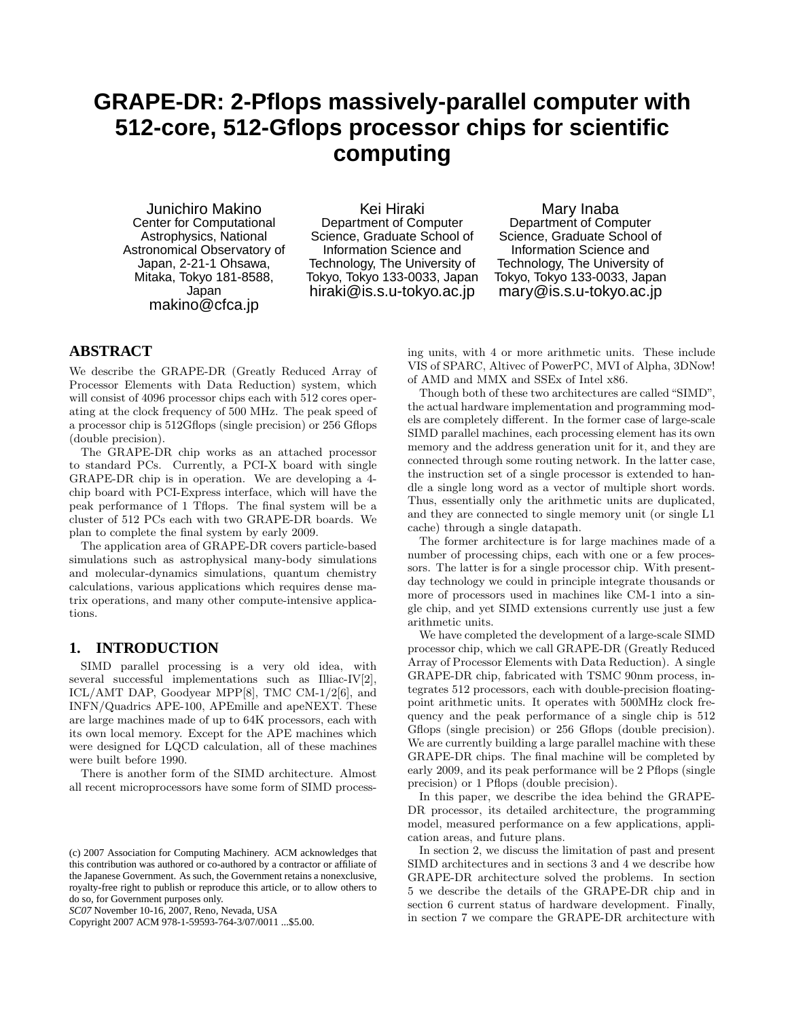# **GRAPE-DR: 2-Pflops massively-parallel computer with 512-core, 512-Gflops processor chips for scientific computing**

Junichiro Makino Center for Computational Astrophysics, National Astronomical Observatory of Japan, 2-21-1 Ohsawa, Mitaka, Tokyo 181-8588, Japan makino@cfca.jp

Kei Hiraki Department of Computer Science, Graduate School of Information Science and Technology, The University of Tokyo, Tokyo 133-0033, Japan hiraki@is.s.u-tokyo.ac.jp

Mary Inaba Department of Computer Science, Graduate School of Information Science and Technology, The University of Tokyo, Tokyo 133-0033, Japan mary@is.s.u-tokyo.ac.jp

## **ABSTRACT**

We describe the GRAPE-DR (Greatly Reduced Array of Processor Elements with Data Reduction) system, which will consist of 4096 processor chips each with 512 cores operating at the clock frequency of 500 MHz. The peak speed of a processor chip is 512Gflops (single precision) or 256 Gflops (double precision).

The GRAPE-DR chip works as an attached processor to standard PCs. Currently, a PCI-X board with single GRAPE-DR chip is in operation. We are developing a 4 chip board with PCI-Express interface, which will have the peak performance of 1 Tflops. The final system will be a cluster of 512 PCs each with two GRAPE-DR boards. We plan to complete the final system by early 2009.

The application area of GRAPE-DR covers particle-based simulations such as astrophysical many-body simulations and molecular-dynamics simulations, quantum chemistry calculations, various applications which requires dense matrix operations, and many other compute-intensive applications.

#### **1. INTRODUCTION**

SIMD parallel processing is a very old idea, with several successful implementations such as Illiac-IV[2], ICL/AMT DAP, Goodyear MPP[8], TMC CM-1/2[6], and INFN/Quadrics APE-100, APEmille and apeNEXT. These are large machines made of up to 64K processors, each with its own local memory. Except for the APE machines which were designed for LQCD calculation, all of these machines were built before 1990.

There is another form of the SIMD architecture. Almost all recent microprocessors have some form of SIMD process-

Copyright 2007 ACM 978-1-59593-764-3/07/0011 ...\$5.00.

ing units, with 4 or more arithmetic units. These include VIS of SPARC, Altivec of PowerPC, MVI of Alpha, 3DNow! of AMD and MMX and SSEx of Intel x86.

Though both of these two architectures are called "SIMD", the actual hardware implementation and programming models are completely different. In the former case of large-scale SIMD parallel machines, each processing element has its own memory and the address generation unit for it, and they are connected through some routing network. In the latter case, the instruction set of a single processor is extended to handle a single long word as a vector of multiple short words. Thus, essentially only the arithmetic units are duplicated, and they are connected to single memory unit (or single L1 cache) through a single datapath.

The former architecture is for large machines made of a number of processing chips, each with one or a few processors. The latter is for a single processor chip. With presentday technology we could in principle integrate thousands or more of processors used in machines like CM-1 into a single chip, and yet SIMD extensions currently use just a few arithmetic units.

We have completed the development of a large-scale SIMD processor chip, which we call GRAPE-DR (Greatly Reduced Array of Processor Elements with Data Reduction). A single GRAPE-DR chip, fabricated with TSMC 90nm process, integrates 512 processors, each with double-precision floatingpoint arithmetic units. It operates with 500MHz clock frequency and the peak performance of a single chip is 512 Gflops (single precision) or 256 Gflops (double precision). We are currently building a large parallel machine with these GRAPE-DR chips. The final machine will be completed by early 2009, and its peak performance will be 2 Pflops (single precision) or 1 Pflops (double precision).

In this paper, we describe the idea behind the GRAPE-DR processor, its detailed architecture, the programming model, measured performance on a few applications, application areas, and future plans.

In section 2, we discuss the limitation of past and present SIMD architectures and in sections 3 and 4 we describe how GRAPE-DR architecture solved the problems. In section 5 we describe the details of the GRAPE-DR chip and in section 6 current status of hardware development. Finally, in section 7 we compare the GRAPE-DR architecture with

<sup>(</sup>c) 2007 Association for Computing Machinery. ACM acknowledges that this contribution was authored or co-authored by a contractor or affiliate of the Japanese Government. As such, the Government retains a nonexclusive, royalty-free right to publish or reproduce this article, or to allow others to do so, for Government purposes only.

*SC07* November 10-16, 2007, Reno, Nevada, USA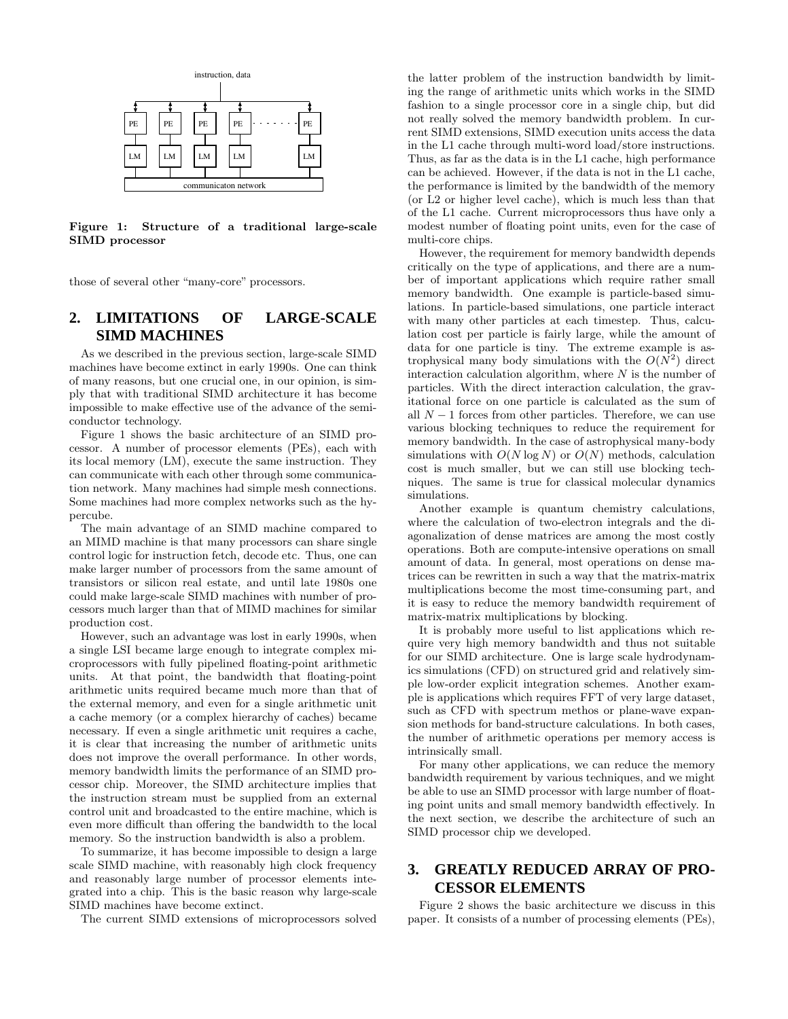

**Figure 1: Structure of a traditional large-scale SIMD processor**

those of several other "many-core" processors.

# **2. LIMITATIONS OF LARGE-SCALE SIMD MACHINES**

As we described in the previous section, large-scale SIMD machines have become extinct in early 1990s. One can think of many reasons, but one crucial one, in our opinion, is simply that with traditional SIMD architecture it has become impossible to make effective use of the advance of the semiconductor technology.

Figure 1 shows the basic architecture of an SIMD processor. A number of processor elements (PEs), each with its local memory (LM), execute the same instruction. They can communicate with each other through some communication network. Many machines had simple mesh connections. Some machines had more complex networks such as the hypercube.

The main advantage of an SIMD machine compared to an MIMD machine is that many processors can share single control logic for instruction fetch, decode etc. Thus, one can make larger number of processors from the same amount of transistors or silicon real estate, and until late 1980s one could make large-scale SIMD machines with number of processors much larger than that of MIMD machines for similar production cost.

However, such an advantage was lost in early 1990s, when a single LSI became large enough to integrate complex microprocessors with fully pipelined floating-point arithmetic units. At that point, the bandwidth that floating-point arithmetic units required became much more than that of the external memory, and even for a single arithmetic unit a cache memory (or a complex hierarchy of caches) became necessary. If even a single arithmetic unit requires a cache, it is clear that increasing the number of arithmetic units does not improve the overall performance. In other words, memory bandwidth limits the performance of an SIMD processor chip. Moreover, the SIMD architecture implies that the instruction stream must be supplied from an external control unit and broadcasted to the entire machine, which is even more difficult than offering the bandwidth to the local memory. So the instruction bandwidth is also a problem.

To summarize, it has become impossible to design a large scale SIMD machine, with reasonably high clock frequency and reasonably large number of processor elements integrated into a chip. This is the basic reason why large-scale SIMD machines have become extinct.

The current SIMD extensions of microprocessors solved

the latter problem of the instruction bandwidth by limiting the range of arithmetic units which works in the SIMD fashion to a single processor core in a single chip, but did not really solved the memory bandwidth problem. In current SIMD extensions, SIMD execution units access the data in the L1 cache through multi-word load/store instructions. Thus, as far as the data is in the L1 cache, high performance can be achieved. However, if the data is not in the L1 cache, the performance is limited by the bandwidth of the memory (or L2 or higher level cache), which is much less than that of the L1 cache. Current microprocessors thus have only a modest number of floating point units, even for the case of multi-core chips.

However, the requirement for memory bandwidth depends critically on the type of applications, and there are a number of important applications which require rather small memory bandwidth. One example is particle-based simulations. In particle-based simulations, one particle interact with many other particles at each timestep. Thus, calculation cost per particle is fairly large, while the amount of data for one particle is tiny. The extreme example is astrophysical many body simulations with the  $O(N^2)$  direct interaction calculation algorithm, where *N* is the number of particles. With the direct interaction calculation, the gravitational force on one particle is calculated as the sum of all *N −* 1 forces from other particles. Therefore, we can use various blocking techniques to reduce the requirement for memory bandwidth. In the case of astrophysical many-body simulations with  $O(N \log N)$  or  $O(N)$  methods, calculation cost is much smaller, but we can still use blocking techniques. The same is true for classical molecular dynamics simulations.

Another example is quantum chemistry calculations, where the calculation of two-electron integrals and the diagonalization of dense matrices are among the most costly operations. Both are compute-intensive operations on small amount of data. In general, most operations on dense matrices can be rewritten in such a way that the matrix-matrix multiplications become the most time-consuming part, and it is easy to reduce the memory bandwidth requirement of matrix-matrix multiplications by blocking.

It is probably more useful to list applications which require very high memory bandwidth and thus not suitable for our SIMD architecture. One is large scale hydrodynamics simulations (CFD) on structured grid and relatively simple low-order explicit integration schemes. Another example is applications which requires FFT of very large dataset, such as CFD with spectrum methos or plane-wave expansion methods for band-structure calculations. In both cases, the number of arithmetic operations per memory access is intrinsically small.

For many other applications, we can reduce the memory bandwidth requirement by various techniques, and we might be able to use an SIMD processor with large number of floating point units and small memory bandwidth effectively. In the next section, we describe the architecture of such an SIMD processor chip we developed.

# **3. GREATLY REDUCED ARRAY OF PRO-CESSOR ELEMENTS**

Figure 2 shows the basic architecture we discuss in this paper. It consists of a number of processing elements (PEs),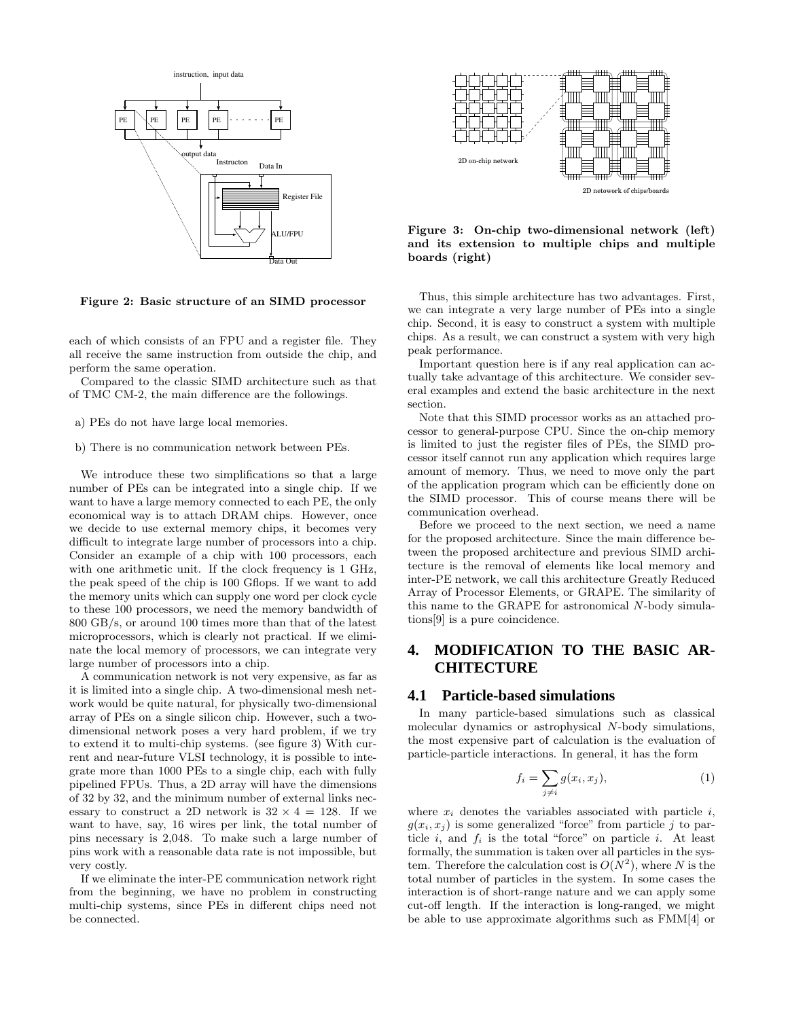

**Figure 2: Basic structure of an SIMD processor**

each of which consists of an FPU and a register file. They all receive the same instruction from outside the chip, and perform the same operation.

Compared to the classic SIMD architecture such as that of TMC CM-2, the main difference are the followings.

- a) PEs do not have large local memories.
- b) There is no communication network between PEs.

We introduce these two simplifications so that a large number of PEs can be integrated into a single chip. If we want to have a large memory connected to each PE, the only economical way is to attach DRAM chips. However, once we decide to use external memory chips, it becomes very difficult to integrate large number of processors into a chip. Consider an example of a chip with 100 processors, each with one arithmetic unit. If the clock frequency is 1 GHz, the peak speed of the chip is 100 Gflops. If we want to add the memory units which can supply one word per clock cycle to these 100 processors, we need the memory bandwidth of 800 GB/s, or around 100 times more than that of the latest microprocessors, which is clearly not practical. If we eliminate the local memory of processors, we can integrate very large number of processors into a chip.

A communication network is not very expensive, as far as it is limited into a single chip. A two-dimensional mesh network would be quite natural, for physically two-dimensional array of PEs on a single silicon chip. However, such a twodimensional network poses a very hard problem, if we try to extend it to multi-chip systems. (see figure 3) With current and near-future VLSI technology, it is possible to integrate more than 1000 PEs to a single chip, each with fully pipelined FPUs. Thus, a 2D array will have the dimensions of 32 by 32, and the minimum number of external links necessary to construct a 2D network is  $32 \times 4 = 128$ . If we want to have, say, 16 wires per link, the total number of pins necessary is 2,048. To make such a large number of pins work with a reasonable data rate is not impossible, but very costly.

If we eliminate the inter-PE communication network right from the beginning, we have no problem in constructing multi-chip systems, since PEs in different chips need not be connected.



**Figure 3: On-chip two-dimensional network (left) and its extension to multiple chips and multiple boards (right)**

Thus, this simple architecture has two advantages. First, we can integrate a very large number of PEs into a single chip. Second, it is easy to construct a system with multiple chips. As a result, we can construct a system with very high peak performance.

Important question here is if any real application can actually take advantage of this architecture. We consider several examples and extend the basic architecture in the next section.

Note that this SIMD processor works as an attached processor to general-purpose CPU. Since the on-chip memory is limited to just the register files of PEs, the SIMD processor itself cannot run any application which requires large amount of memory. Thus, we need to move only the part of the application program which can be efficiently done on the SIMD processor. This of course means there will be communication overhead.

Before we proceed to the next section, we need a name for the proposed architecture. Since the main difference between the proposed architecture and previous SIMD architecture is the removal of elements like local memory and inter-PE network, we call this architecture Greatly Reduced Array of Processor Elements, or GRAPE. The similarity of this name to the GRAPE for astronomical *N*-body simulations[9] is a pure coincidence.

# **4. MODIFICATION TO THE BASIC AR-CHITECTURE**

#### **4.1 Particle-based simulations**

In many particle-based simulations such as classical molecular dynamics or astrophysical *N*-body simulations, the most expensive part of calculation is the evaluation of particle-particle interactions. In general, it has the form

$$
f_i = \sum_{j \neq i} g(x_i, x_j), \tag{1}
$$

where  $x_i$  denotes the variables associated with particle  $i$ ,  $g(x_i, x_j)$  is some generalized "force" from particle *j* to particle  $i$ , and  $f_i$  is the total "force" on particle  $i$ . At least formally, the summation is taken over all particles in the system. Therefore the calculation cost is  $O(N^2)$ , where *N* is the total number of particles in the system. In some cases the interaction is of short-range nature and we can apply some cut-off length. If the interaction is long-ranged, we might be able to use approximate algorithms such as FMM[4] or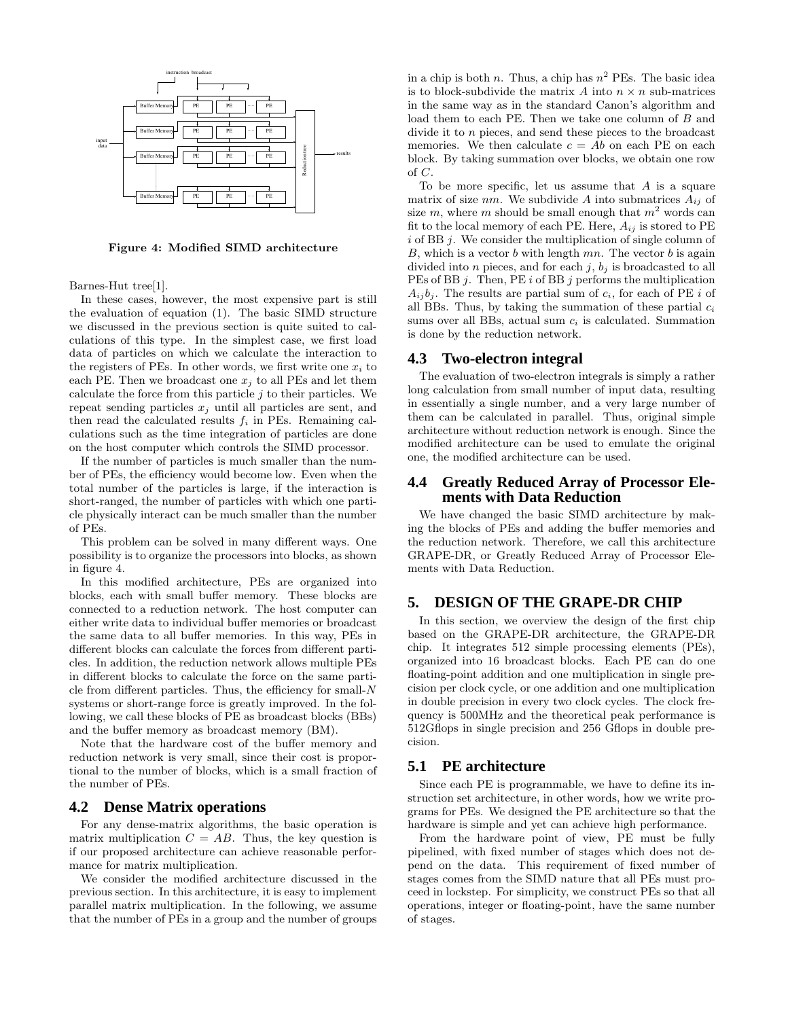

**Figure 4: Modified SIMD architecture**

Barnes-Hut tree[1].

In these cases, however, the most expensive part is still the evaluation of equation (1). The basic SIMD structure we discussed in the previous section is quite suited to calculations of this type. In the simplest case, we first load data of particles on which we calculate the interaction to the registers of PEs. In other words, we first write one  $x_i$  to each PE. Then we broadcast one  $x_j$  to all PEs and let them calculate the force from this particle *j* to their particles. We repeat sending particles *x<sup>j</sup>* until all particles are sent, and then read the calculated results  $f_i$  in PEs. Remaining calculations such as the time integration of particles are done on the host computer which controls the SIMD processor.

If the number of particles is much smaller than the number of PEs, the efficiency would become low. Even when the total number of the particles is large, if the interaction is short-ranged, the number of particles with which one particle physically interact can be much smaller than the number of PEs.

This problem can be solved in many different ways. One possibility is to organize the processors into blocks, as shown in figure 4.

In this modified architecture, PEs are organized into blocks, each with small buffer memory. These blocks are connected to a reduction network. The host computer can either write data to individual buffer memories or broadcast the same data to all buffer memories. In this way, PEs in different blocks can calculate the forces from different particles. In addition, the reduction network allows multiple PEs in different blocks to calculate the force on the same particle from different particles. Thus, the efficiency for small-*N* systems or short-range force is greatly improved. In the following, we call these blocks of PE as broadcast blocks (BBs) and the buffer memory as broadcast memory (BM).

Note that the hardware cost of the buffer memory and reduction network is very small, since their cost is proportional to the number of blocks, which is a small fraction of the number of PEs.

#### **4.2 Dense Matrix operations**

For any dense-matrix algorithms, the basic operation is matrix multiplication  $C = AB$ . Thus, the key question is if our proposed architecture can achieve reasonable performance for matrix multiplication.

We consider the modified architecture discussed in the previous section. In this architecture, it is easy to implement parallel matrix multiplication. In the following, we assume that the number of PEs in a group and the number of groups

in a chip is both *n*. Thus, a chip has *n* <sup>2</sup> PEs. The basic idea is to block-subdivide the matrix  $A$  into  $n \times n$  sub-matrices in the same way as in the standard Canon's algorithm and load them to each PE. Then we take one column of *B* and divide it to *n* pieces, and send these pieces to the broadcast memories. We then calculate  $c = Ab$  on each PE on each block. By taking summation over blocks, we obtain one row of *C*.

To be more specific, let us assume that *A* is a square matrix of size *nm*. We subdivide A into submatrices  $A_{ij}$  of size  $m$ , where  $m$  should be small enough that  $m<sup>2</sup>$  words can fit to the local memory of each PE. Here,  $A_{ij}$  is stored to PE *i* of BB *j*. We consider the multiplication of single column of *B*, which is a vector *b* with length *mn*. The vector *b* is again divided into *n* pieces, and for each *j*, *b<sup>j</sup>* is broadcasted to all PEs of BB *j*. Then, PE *i* of BB *j* performs the multiplication  $A_{ij}b_j$ . The results are partial sum of  $c_i$ , for each of PE *i* of all BBs. Thus, by taking the summation of these partial *c<sup>i</sup>* sums over all BBs, actual sum *c<sup>i</sup>* is calculated. Summation is done by the reduction network.

#### **4.3 Two-electron integral**

The evaluation of two-electron integrals is simply a rather long calculation from small number of input data, resulting in essentially a single number, and a very large number of them can be calculated in parallel. Thus, original simple architecture without reduction network is enough. Since the modified architecture can be used to emulate the original one, the modified architecture can be used.

## **4.4 Greatly Reduced Array of Processor Elements with Data Reduction**

We have changed the basic SIMD architecture by making the blocks of PEs and adding the buffer memories and the reduction network. Therefore, we call this architecture GRAPE-DR, or Greatly Reduced Array of Processor Elements with Data Reduction.

## **5. DESIGN OF THE GRAPE-DR CHIP**

In this section, we overview the design of the first chip based on the GRAPE-DR architecture, the GRAPE-DR chip. It integrates 512 simple processing elements (PEs), organized into 16 broadcast blocks. Each PE can do one floating-point addition and one multiplication in single precision per clock cycle, or one addition and one multiplication in double precision in every two clock cycles. The clock frequency is 500MHz and the theoretical peak performance is 512Gflops in single precision and 256 Gflops in double precision.

#### **5.1 PE architecture**

Since each PE is programmable, we have to define its instruction set architecture, in other words, how we write programs for PEs. We designed the PE architecture so that the hardware is simple and yet can achieve high performance.

From the hardware point of view, PE must be fully pipelined, with fixed number of stages which does not depend on the data. This requirement of fixed number of stages comes from the SIMD nature that all PEs must proceed in lockstep. For simplicity, we construct PEs so that all operations, integer or floating-point, have the same number of stages.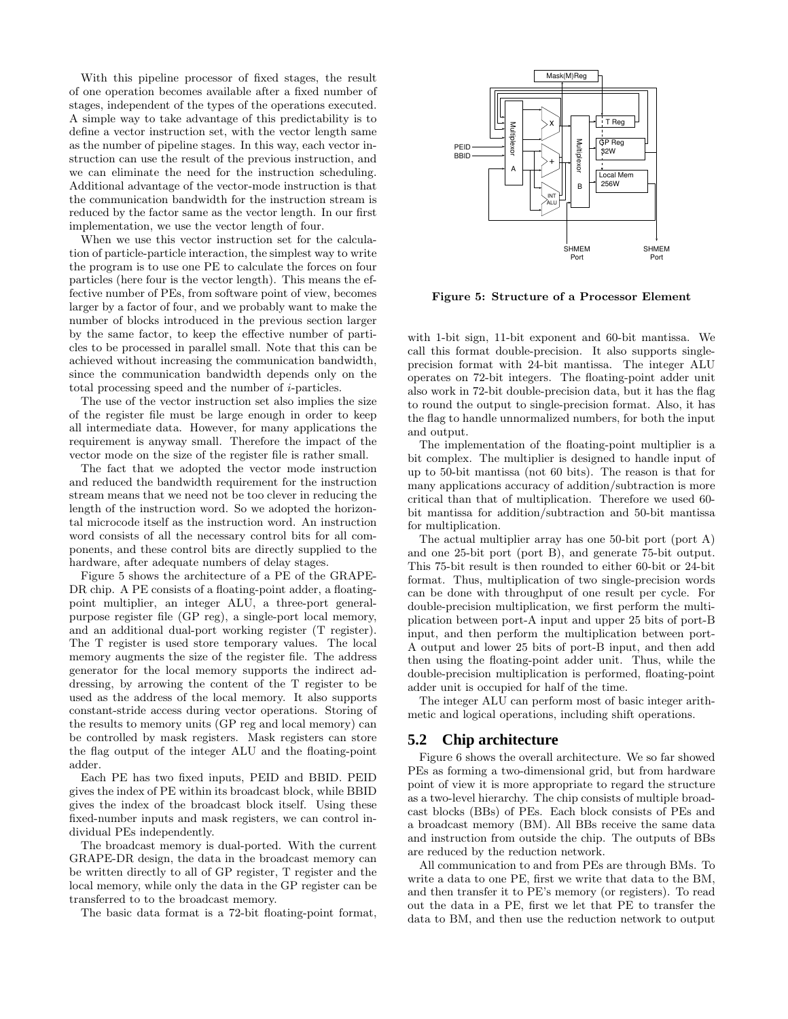With this pipeline processor of fixed stages, the result of one operation becomes available after a fixed number of stages, independent of the types of the operations executed. A simple way to take advantage of this predictability is to define a vector instruction set, with the vector length same as the number of pipeline stages. In this way, each vector instruction can use the result of the previous instruction, and we can eliminate the need for the instruction scheduling. Additional advantage of the vector-mode instruction is that the communication bandwidth for the instruction stream is reduced by the factor same as the vector length. In our first implementation, we use the vector length of four.

When we use this vector instruction set for the calculation of particle-particle interaction, the simplest way to write the program is to use one PE to calculate the forces on four particles (here four is the vector length). This means the effective number of PEs, from software point of view, becomes larger by a factor of four, and we probably want to make the number of blocks introduced in the previous section larger by the same factor, to keep the effective number of particles to be processed in parallel small. Note that this can be achieved without increasing the communication bandwidth, since the communication bandwidth depends only on the total processing speed and the number of *i*-particles.

The use of the vector instruction set also implies the size of the register file must be large enough in order to keep all intermediate data. However, for many applications the requirement is anyway small. Therefore the impact of the vector mode on the size of the register file is rather small.

The fact that we adopted the vector mode instruction and reduced the bandwidth requirement for the instruction stream means that we need not be too clever in reducing the length of the instruction word. So we adopted the horizontal microcode itself as the instruction word. An instruction word consists of all the necessary control bits for all components, and these control bits are directly supplied to the hardware, after adequate numbers of delay stages.

Figure 5 shows the architecture of a PE of the GRAPE-DR chip. A PE consists of a floating-point adder, a floatingpoint multiplier, an integer ALU, a three-port generalpurpose register file (GP reg), a single-port local memory, and an additional dual-port working register (T register). The T register is used store temporary values. The local memory augments the size of the register file. The address generator for the local memory supports the indirect addressing, by arrowing the content of the T register to be used as the address of the local memory. It also supports constant-stride access during vector operations. Storing of the results to memory units (GP reg and local memory) can be controlled by mask registers. Mask registers can store the flag output of the integer ALU and the floating-point adder.

Each PE has two fixed inputs, PEID and BBID. PEID gives the index of PE within its broadcast block, while BBID gives the index of the broadcast block itself. Using these fixed-number inputs and mask registers, we can control individual PEs independently.

The broadcast memory is dual-ported. With the current GRAPE-DR design, the data in the broadcast memory can be written directly to all of GP register, T register and the local memory, while only the data in the GP register can be transferred to to the broadcast memory.

The basic data format is a 72-bit floating-point format,



**Figure 5: Structure of a Processor Element**

with 1-bit sign, 11-bit exponent and 60-bit mantissa. We call this format double-precision. It also supports singleprecision format with 24-bit mantissa. The integer ALU operates on 72-bit integers. The floating-point adder unit also work in 72-bit double-precision data, but it has the flag to round the output to single-precision format. Also, it has the flag to handle unnormalized numbers, for both the input and output.

The implementation of the floating-point multiplier is a bit complex. The multiplier is designed to handle input of up to 50-bit mantissa (not 60 bits). The reason is that for many applications accuracy of addition/subtraction is more critical than that of multiplication. Therefore we used 60 bit mantissa for addition/subtraction and 50-bit mantissa for multiplication.

The actual multiplier array has one 50-bit port (port A) and one 25-bit port (port B), and generate 75-bit output. This 75-bit result is then rounded to either 60-bit or 24-bit format. Thus, multiplication of two single-precision words can be done with throughput of one result per cycle. For double-precision multiplication, we first perform the multiplication between port-A input and upper 25 bits of port-B input, and then perform the multiplication between port-A output and lower 25 bits of port-B input, and then add then using the floating-point adder unit. Thus, while the double-precision multiplication is performed, floating-point adder unit is occupied for half of the time.

The integer ALU can perform most of basic integer arithmetic and logical operations, including shift operations.

### **5.2 Chip architecture**

Figure 6 shows the overall architecture. We so far showed PEs as forming a two-dimensional grid, but from hardware point of view it is more appropriate to regard the structure as a two-level hierarchy. The chip consists of multiple broadcast blocks (BBs) of PEs. Each block consists of PEs and a broadcast memory (BM). All BBs receive the same data and instruction from outside the chip. The outputs of BBs are reduced by the reduction network.

All communication to and from PEs are through BMs. To write a data to one PE, first we write that data to the BM, and then transfer it to PE's memory (or registers). To read out the data in a PE, first we let that PE to transfer the data to BM, and then use the reduction network to output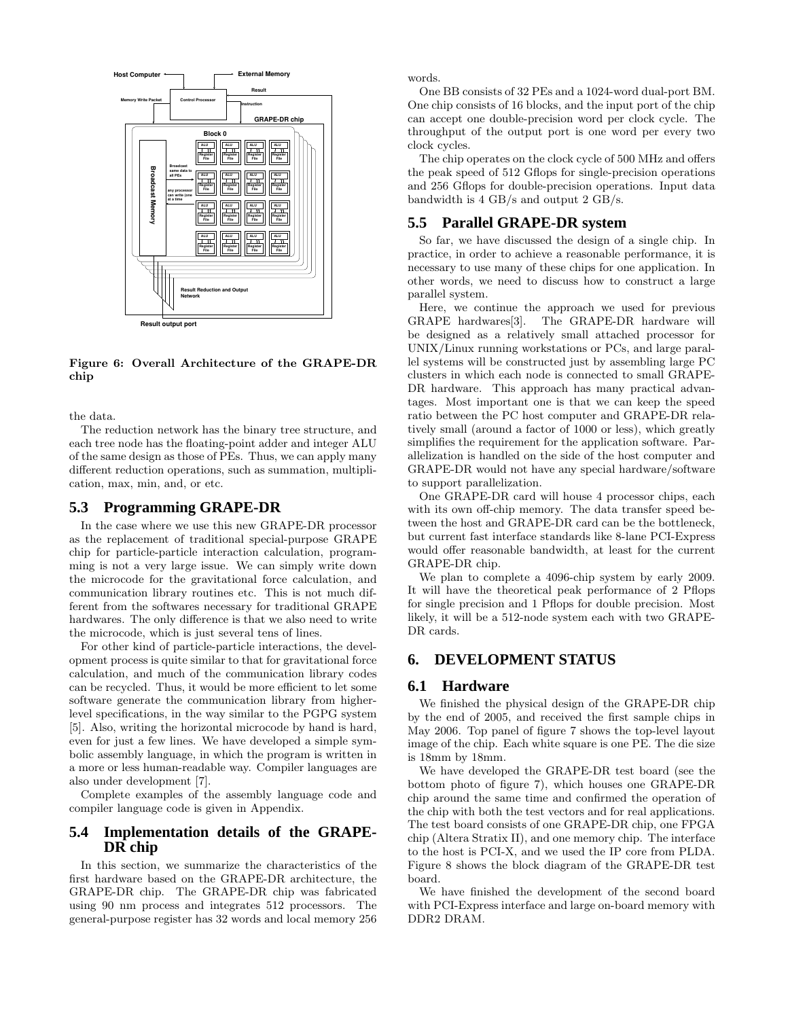

**Figure 6: Overall Architecture of the GRAPE-DR chip**

the data.

The reduction network has the binary tree structure, and each tree node has the floating-point adder and integer ALU of the same design as those of PEs. Thus, we can apply many different reduction operations, such as summation, multiplication, max, min, and, or etc.

#### **5.3 Programming GRAPE-DR**

In the case where we use this new GRAPE-DR processor as the replacement of traditional special-purpose GRAPE chip for particle-particle interaction calculation, programming is not a very large issue. We can simply write down the microcode for the gravitational force calculation, and communication library routines etc. This is not much different from the softwares necessary for traditional GRAPE hardwares. The only difference is that we also need to write the microcode, which is just several tens of lines.

For other kind of particle-particle interactions, the development process is quite similar to that for gravitational force calculation, and much of the communication library codes can be recycled. Thus, it would be more efficient to let some software generate the communication library from higherlevel specifications, in the way similar to the PGPG system [5]. Also, writing the horizontal microcode by hand is hard, even for just a few lines. We have developed a simple symbolic assembly language, in which the program is written in a more or less human-readable way. Compiler languages are also under development [7].

Complete examples of the assembly language code and compiler language code is given in Appendix.

### **5.4 Implementation details of the GRAPE-DR chip**

In this section, we summarize the characteristics of the first hardware based on the GRAPE-DR architecture, the GRAPE-DR chip. The GRAPE-DR chip was fabricated using 90 nm process and integrates 512 processors. The general-purpose register has 32 words and local memory 256 words.

One BB consists of 32 PEs and a 1024-word dual-port BM. One chip consists of 16 blocks, and the input port of the chip can accept one double-precision word per clock cycle. The throughput of the output port is one word per every two clock cycles.

The chip operates on the clock cycle of 500 MHz and offers the peak speed of 512 Gflops for single-precision operations and 256 Gflops for double-precision operations. Input data bandwidth is 4 GB/s and output 2 GB/s.

## **5.5 Parallel GRAPE-DR system**

So far, we have discussed the design of a single chip. In practice, in order to achieve a reasonable performance, it is necessary to use many of these chips for one application. In other words, we need to discuss how to construct a large parallel system.

Here, we continue the approach we used for previous GRAPE hardwares[3]. The GRAPE-DR hardware will be designed as a relatively small attached processor for UNIX/Linux running workstations or PCs, and large parallel systems will be constructed just by assembling large PC clusters in which each node is connected to small GRAPE-DR hardware. This approach has many practical advantages. Most important one is that we can keep the speed ratio between the PC host computer and GRAPE-DR relatively small (around a factor of 1000 or less), which greatly simplifies the requirement for the application software. Parallelization is handled on the side of the host computer and GRAPE-DR would not have any special hardware/software to support parallelization.

One GRAPE-DR card will house 4 processor chips, each with its own off-chip memory. The data transfer speed between the host and GRAPE-DR card can be the bottleneck, but current fast interface standards like 8-lane PCI-Express would offer reasonable bandwidth, at least for the current GRAPE-DR chip.

We plan to complete a 4096-chip system by early 2009. It will have the theoretical peak performance of 2 Pflops for single precision and 1 Pflops for double precision. Most likely, it will be a 512-node system each with two GRAPE-DR cards.

## **6. DEVELOPMENT STATUS**

#### **6.1 Hardware**

We finished the physical design of the GRAPE-DR chip by the end of 2005, and received the first sample chips in May 2006. Top panel of figure 7 shows the top-level layout image of the chip. Each white square is one PE. The die size is 18mm by 18mm.

We have developed the GRAPE-DR test board (see the bottom photo of figure 7), which houses one GRAPE-DR chip around the same time and confirmed the operation of the chip with both the test vectors and for real applications. The test board consists of one GRAPE-DR chip, one FPGA chip (Altera Stratix II), and one memory chip. The interface to the host is PCI-X, and we used the IP core from PLDA. Figure 8 shows the block diagram of the GRAPE-DR test board.

We have finished the development of the second board with PCI-Express interface and large on-board memory with DDR2 DRAM.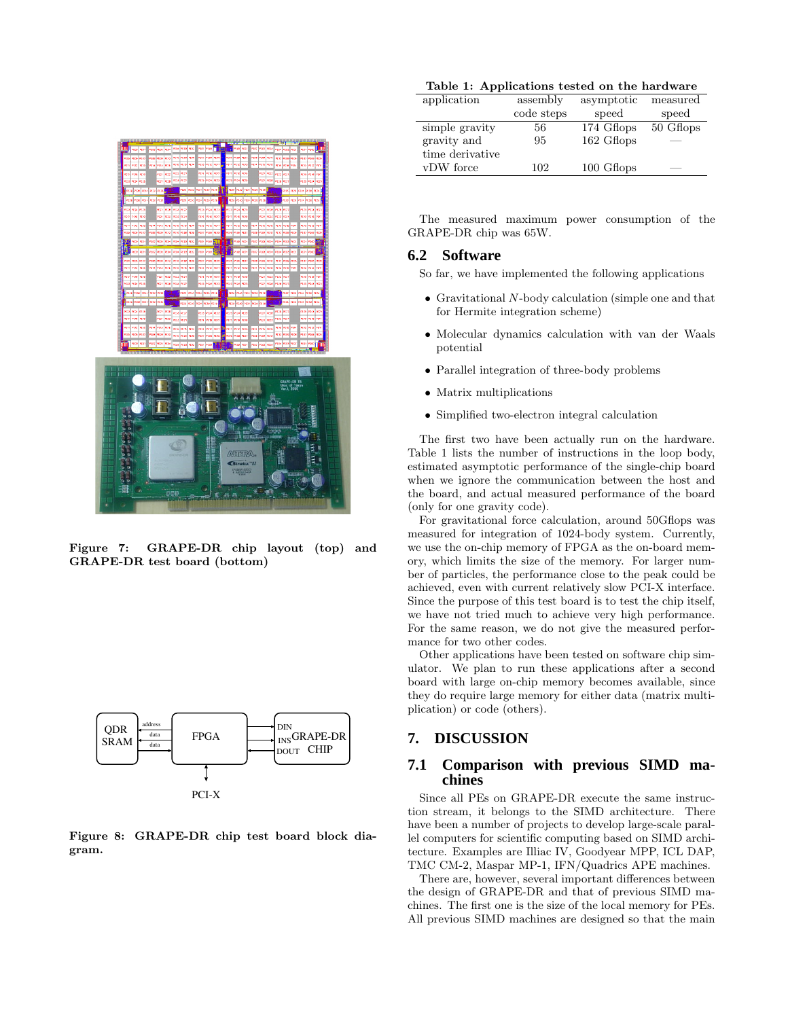

**Figure 7: GRAPE-DR chip layout (top) and GRAPE-DR test board (bottom)**



**Figure 8: GRAPE-DR chip test board block diagram.**

|  | Table 1: Applications tested on the hardware |  |  |  |
|--|----------------------------------------------|--|--|--|
|--|----------------------------------------------|--|--|--|

| application     | assembly   | asymptotic | measured  |  |  |
|-----------------|------------|------------|-----------|--|--|
|                 | code steps | speed      | speed     |  |  |
| simple gravity  | 56         | 174 Gflops | 50 Gflops |  |  |
| gravity and     | 95         | 162 Gflops |           |  |  |
| time derivative |            |            |           |  |  |
| vDW force       | 102        | 100 Gflops |           |  |  |

The measured maximum power consumption of the GRAPE-DR chip was 65W.

#### **6.2 Software**

So far, we have implemented the following applications

- *•* Gravitational *N*-body calculation (simple one and that for Hermite integration scheme)
- *•* Molecular dynamics calculation with van der Waals potential
- *•* Parallel integration of three-body problems
- *•* Matrix multiplications
- *•* Simplified two-electron integral calculation

The first two have been actually run on the hardware. Table 1 lists the number of instructions in the loop body, estimated asymptotic performance of the single-chip board when we ignore the communication between the host and the board, and actual measured performance of the board (only for one gravity code).

For gravitational force calculation, around 50Gflops was measured for integration of 1024-body system. Currently, we use the on-chip memory of FPGA as the on-board memory, which limits the size of the memory. For larger number of particles, the performance close to the peak could be achieved, even with current relatively slow PCI-X interface. Since the purpose of this test board is to test the chip itself, we have not tried much to achieve very high performance. For the same reason, we do not give the measured performance for two other codes.

Other applications have been tested on software chip simulator. We plan to run these applications after a second board with large on-chip memory becomes available, since they do require large memory for either data (matrix multiplication) or code (others).

## **7. DISCUSSION**

## **7.1 Comparison with previous SIMD machines**

Since all PEs on GRAPE-DR execute the same instruction stream, it belongs to the SIMD architecture. There have been a number of projects to develop large-scale parallel computers for scientific computing based on SIMD architecture. Examples are Illiac IV, Goodyear MPP, ICL DAP, TMC CM-2, Maspar MP-1, IFN/Quadrics APE machines.

There are, however, several important differences between the design of GRAPE-DR and that of previous SIMD machines. The first one is the size of the local memory for PEs. All previous SIMD machines are designed so that the main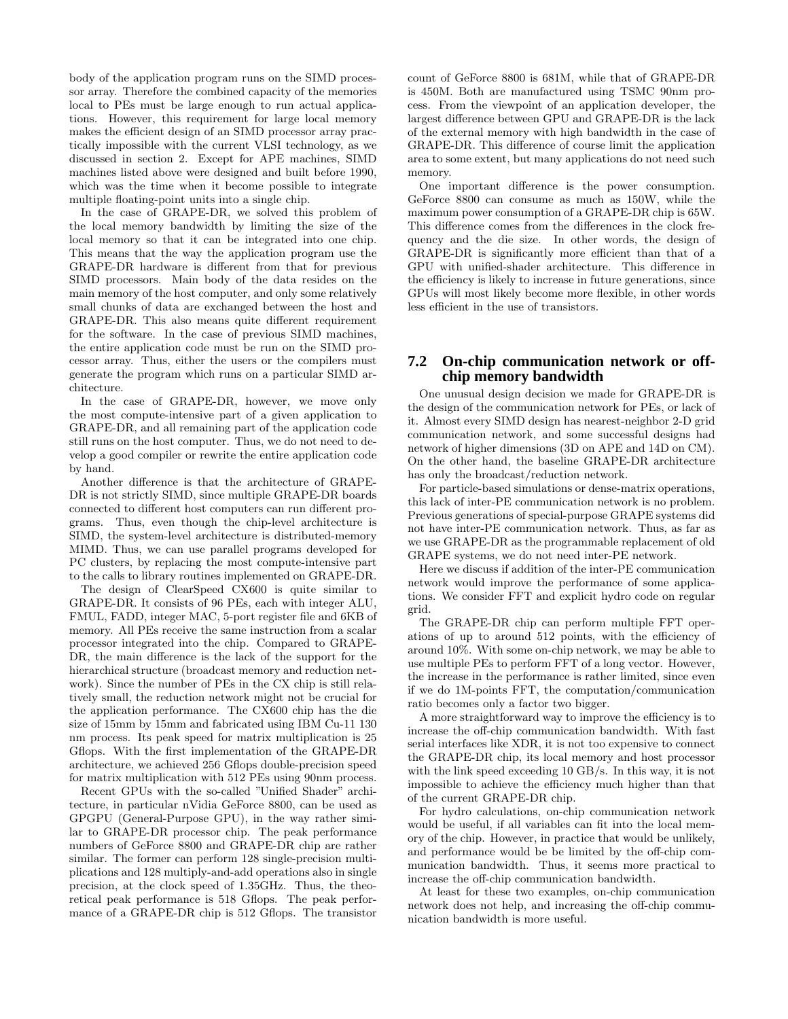body of the application program runs on the SIMD processor array. Therefore the combined capacity of the memories local to PEs must be large enough to run actual applications. However, this requirement for large local memory makes the efficient design of an SIMD processor array practically impossible with the current VLSI technology, as we discussed in section 2. Except for APE machines, SIMD machines listed above were designed and built before 1990, which was the time when it become possible to integrate multiple floating-point units into a single chip.

In the case of GRAPE-DR, we solved this problem of the local memory bandwidth by limiting the size of the local memory so that it can be integrated into one chip. This means that the way the application program use the GRAPE-DR hardware is different from that for previous SIMD processors. Main body of the data resides on the main memory of the host computer, and only some relatively small chunks of data are exchanged between the host and GRAPE-DR. This also means quite different requirement for the software. In the case of previous SIMD machines, the entire application code must be run on the SIMD processor array. Thus, either the users or the compilers must generate the program which runs on a particular SIMD architecture.

In the case of GRAPE-DR, however, we move only the most compute-intensive part of a given application to GRAPE-DR, and all remaining part of the application code still runs on the host computer. Thus, we do not need to develop a good compiler or rewrite the entire application code by hand.

Another difference is that the architecture of GRAPE-DR is not strictly SIMD, since multiple GRAPE-DR boards connected to different host computers can run different programs. Thus, even though the chip-level architecture is SIMD, the system-level architecture is distributed-memory MIMD. Thus, we can use parallel programs developed for PC clusters, by replacing the most compute-intensive part to the calls to library routines implemented on GRAPE-DR.

The design of ClearSpeed CX600 is quite similar to GRAPE-DR. It consists of 96 PEs, each with integer ALU, FMUL, FADD, integer MAC, 5-port register file and 6KB of memory. All PEs receive the same instruction from a scalar processor integrated into the chip. Compared to GRAPE-DR, the main difference is the lack of the support for the hierarchical structure (broadcast memory and reduction network). Since the number of PEs in the CX chip is still relatively small, the reduction network might not be crucial for the application performance. The CX600 chip has the die size of 15mm by 15mm and fabricated using IBM Cu-11 130 nm process. Its peak speed for matrix multiplication is 25 Gflops. With the first implementation of the GRAPE-DR architecture, we achieved 256 Gflops double-precision speed for matrix multiplication with 512 PEs using 90nm process.

Recent GPUs with the so-called "Unified Shader" architecture, in particular nVidia GeForce 8800, can be used as GPGPU (General-Purpose GPU), in the way rather similar to GRAPE-DR processor chip. The peak performance numbers of GeForce 8800 and GRAPE-DR chip are rather similar. The former can perform 128 single-precision multiplications and 128 multiply-and-add operations also in single precision, at the clock speed of 1.35GHz. Thus, the theoretical peak performance is 518 Gflops. The peak performance of a GRAPE-DR chip is 512 Gflops. The transistor count of GeForce 8800 is 681M, while that of GRAPE-DR is 450M. Both are manufactured using TSMC 90nm process. From the viewpoint of an application developer, the largest difference between GPU and GRAPE-DR is the lack of the external memory with high bandwidth in the case of GRAPE-DR. This difference of course limit the application area to some extent, but many applications do not need such memory.

One important difference is the power consumption. GeForce 8800 can consume as much as 150W, while the maximum power consumption of a GRAPE-DR chip is 65W. This difference comes from the differences in the clock frequency and the die size. In other words, the design of GRAPE-DR is significantly more efficient than that of a GPU with unified-shader architecture. This difference in the efficiency is likely to increase in future generations, since GPUs will most likely become more flexible, in other words less efficient in the use of transistors.

## **7.2 On-chip communication network or offchip memory bandwidth**

One unusual design decision we made for GRAPE-DR is the design of the communication network for PEs, or lack of it. Almost every SIMD design has nearest-neighbor 2-D grid communication network, and some successful designs had network of higher dimensions (3D on APE and 14D on CM). On the other hand, the baseline GRAPE-DR architecture has only the broadcast/reduction network.

For particle-based simulations or dense-matrix operations, this lack of inter-PE communication network is no problem. Previous generations of special-purpose GRAPE systems did not have inter-PE communication network. Thus, as far as we use GRAPE-DR as the programmable replacement of old GRAPE systems, we do not need inter-PE network.

Here we discuss if addition of the inter-PE communication network would improve the performance of some applications. We consider FFT and explicit hydro code on regular grid.

The GRAPE-DR chip can perform multiple FFT operations of up to around 512 points, with the efficiency of around 10%. With some on-chip network, we may be able to use multiple PEs to perform FFT of a long vector. However, the increase in the performance is rather limited, since even if we do 1M-points FFT, the computation/communication ratio becomes only a factor two bigger.

A more straightforward way to improve the efficiency is to increase the off-chip communication bandwidth. With fast serial interfaces like XDR, it is not too expensive to connect the GRAPE-DR chip, its local memory and host processor with the link speed exceeding 10 GB/s. In this way, it is not impossible to achieve the efficiency much higher than that of the current GRAPE-DR chip.

For hydro calculations, on-chip communication network would be useful, if all variables can fit into the local memory of the chip. However, in practice that would be unlikely, and performance would be be limited by the off-chip communication bandwidth. Thus, it seems more practical to increase the off-chip communication bandwidth.

At least for these two examples, on-chip communication network does not help, and increasing the off-chip communication bandwidth is more useful.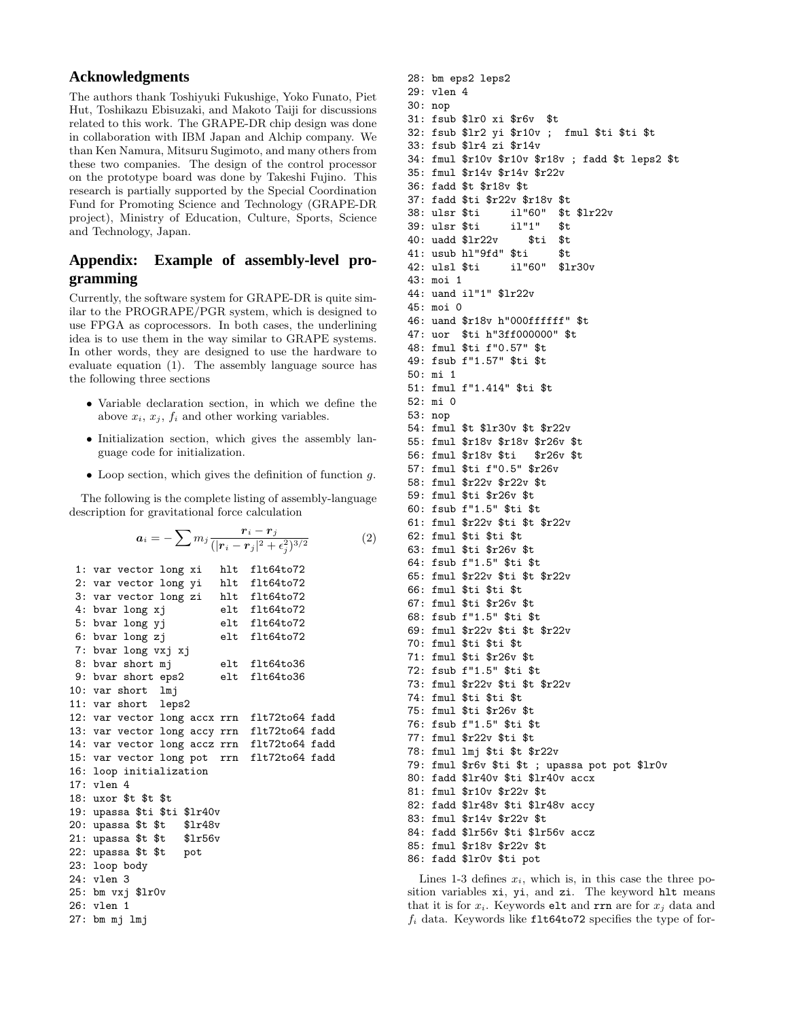## **Acknowledgments**

The authors thank Toshiyuki Fukushige, Yoko Funato, Piet Hut, Toshikazu Ebisuzaki, and Makoto Taiji for discussions related to this work. The GRAPE-DR chip design was done in collaboration with IBM Japan and Alchip company. We than Ken Namura, Mitsuru Sugimoto, and many others from these two companies. The design of the control processor on the prototype board was done by Takeshi Fujino. This research is partially supported by the Special Coordination Fund for Promoting Science and Technology (GRAPE-DR project), Ministry of Education, Culture, Sports, Science and Technology, Japan.

# **Appendix: Example of assembly-level programming**

Currently, the software system for GRAPE-DR is quite similar to the PROGRAPE/PGR system, which is designed to use FPGA as coprocessors. In both cases, the underlining idea is to use them in the way similar to GRAPE systems. In other words, they are designed to use the hardware to evaluate equation (1). The assembly language source has the following three sections

- *•* Variable declaration section, in which we define the above  $x_i$ ,  $x_j$ ,  $f_i$  and other working variables.
- *•* Initialization section, which gives the assembly language code for initialization.
- *•* Loop section, which gives the definition of function *g*.

The following is the complete listing of assembly-language description for gravitational force calculation

$$
a_i = -\sum m_j \frac{r_i - r_j}{(|r_i - r_j|^2 + \epsilon_j^2)^{3/2}} \tag{2}
$$

```
1: var vector long xi hlt flt64to72
2: var vector long yi hlt flt64to72
3: var vector long zi hlt flt64to72
4: bvar long xj elt flt64to72
5: bvar long yj elt flt64to72
6: bvar long zj elt flt64to72
7: bvar long vxj xj
8: bvar short mj elt flt64to36
9: bvar short eps2 elt flt64to36
10: var short lmj
11: var short leps2
12: var vector long accx rrn flt72to64 fadd
13: var vector long accy rrn flt72to64 fadd
14: var vector long accz rrn flt72to64 fadd
15: var vector long pot rrn flt72to64 fadd
16: loop initialization
17: vlen 4
18: uxor $t $t $t
19: upassa $ti $ti $lr40v
20: upassa $t $t $lr48v
21: upassa $t $t $lr56v
22: upassa $t $t pot
23: loop body
24: vlen 3
25: bm vxj $lr0v
26: vlen 1
27: bm mj lmj
```
28: bm eps2 leps2 29: vlen 4 30: nop 31: fsub \$lr0 xi \$r6v \$t 32: fsub \$lr2 yi \$r10v ; fmul \$ti \$ti \$t 33: fsub \$lr4 zi \$r14v 34: fmul \$r10v \$r10v \$r18v ; fadd \$t leps2 \$t 35: fmul \$r14v \$r14v \$r22v 36: fadd \$t \$r18v \$t 37: fadd \$ti \$r22v \$r18v \$t 38: ulsr \$ti il"60" \$t \$lr22v 39: ulsr \$ti il"1" \$t 40: uadd  $Ir22v$   $If$   $If$   $If$  $41:$  usub hl" $9fd$ " \$ti 42: ulsl \$ti il"60" \$lr30v 43: moi 1 44: uand il"1" \$lr22v 45: moi 0 46: uand \$r18v h"000ffffff" \$t 47: uor \$ti h"3ff000000" \$t 48: fmul \$ti f"0.57" \$t 49: fsub f"1.57" \$ti \$t 50: mi 1 51: fmul f"1.414" \$ti \$t 52: mi 0 53: nop 54: fmul \$t \$lr30v \$t \$r22v 55: fmul \$r18v \$r18v \$r26v \$t 56: fmul \$r18v \$ti \$r26v \$t 57: fmul \$ti f"0.5" \$r26v 58: fmul \$r22v \$r22v \$t 59: fmul \$ti \$r26v \$t 60: fsub f"1.5" \$ti \$t 61: fmul \$r22v \$ti \$t \$r22v 62: fmul \$ti \$ti \$t 63: fmul \$ti \$r26v \$t 64: fsub f"1.5" \$ti \$t 65: fmul \$r22v \$ti \$t \$r22v 66: fmul \$ti \$ti \$t 67: fmul \$ti \$r26v \$t 68: fsub f"1.5" \$ti \$t 69: fmul \$r22v \$ti \$t \$r22v 70: fmul \$ti \$ti \$t 71: fmul \$ti \$r26v \$t 72: fsub f"1.5" \$ti \$t 73: fmul \$r22v \$ti \$t \$r22v 74: fmul \$ti \$ti \$t 75: fmul \$ti \$r26v \$t 76: fsub f"1.5" \$ti \$t 77: fmul \$r22v \$ti \$t 78: fmul lmj \$ti \$t \$r22v 79: fmul \$r6v \$ti \$t ; upassa pot pot \$lr0v 80: fadd \$lr40v \$ti \$lr40v accx 81: fmul \$r10v \$r22v \$t 82: fadd \$lr48v \$ti \$lr48v accy 83: fmul \$r14v \$r22v \$t 84: fadd \$lr56v \$ti \$lr56v accz 85: fmul \$r18v \$r22v \$t 86: fadd \$lr0v \$ti pot

Lines 1-3 defines  $x_i$ , which is, in this case the three position variables xi, yi, and zi. The keyword hlt means that it is for  $x_i$ . Keywords elt and rrn are for  $x_j$  data and *f<sup>i</sup>* data. Keywords like flt64to72 specifies the type of for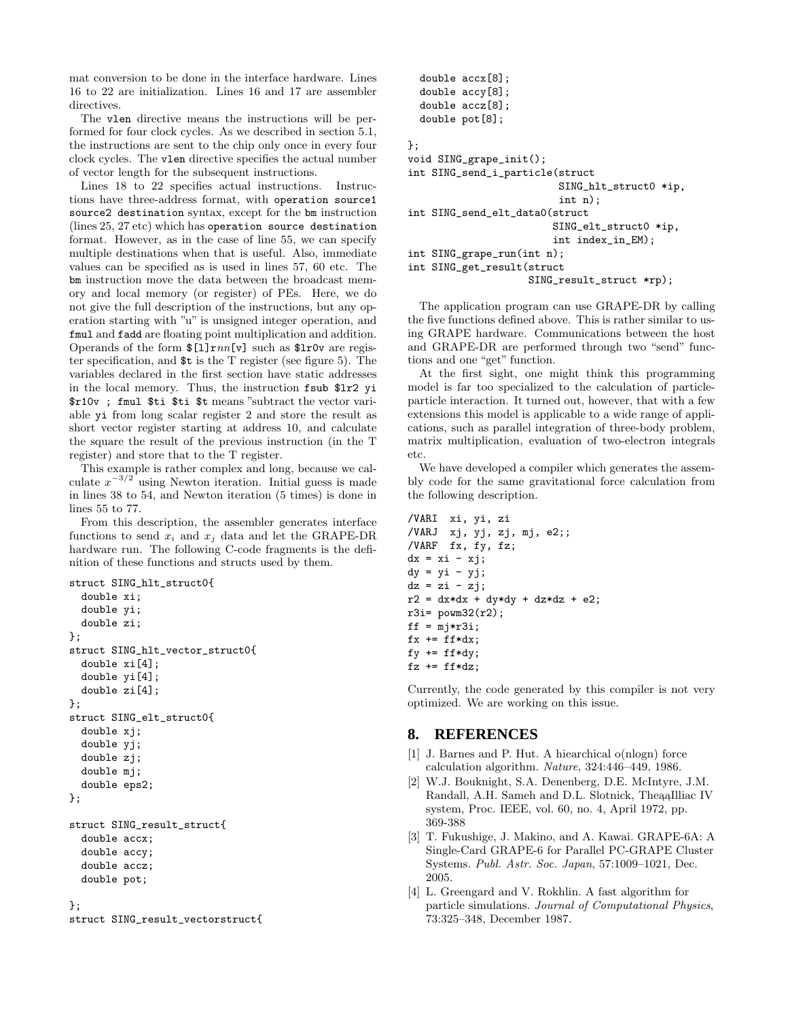mat conversion to be done in the interface hardware. Lines 16 to 22 are initialization. Lines 16 and 17 are assembler directives.

The vlen directive means the instructions will be performed for four clock cycles. As we described in section 5.1, the instructions are sent to the chip only once in every four clock cycles. The vlen directive specifies the actual number of vector length for the subsequent instructions.

Lines 18 to 22 specifies actual instructions. Instructions have three-address format, with operation source1 source2 destination syntax, except for the bm instruction (lines 25, 27 etc) which has operation source destination format. However, as in the case of line 55, we can specify multiple destinations when that is useful. Also, immediate values can be specified as is used in lines 57, 60 etc. The bm instruction move the data between the broadcast memory and local memory (or register) of PEs. Here, we do not give the full description of the instructions, but any operation starting with "u" is unsigned integer operation, and  ${\tt fmul}$  and  ${\tt fadd}$  are floating point multiplication and addition. Operands of the form \$[l]r*nn*[v] such as \$lr0v are register specification, and \$t is the T register (see figure 5). The variables declared in the first section have static addresses in the local memory. Thus, the instruction fsub \$lr2 yi \$r10v ; fmul \$ti \$ti \$t means "subtract the vector variable yi from long scalar register 2 and store the result as short vector register starting at address 10, and calculate the square the result of the previous instruction (in the T register) and store that to the T register.

This example is rather complex and long, because we calculate *x <sup>−</sup>*3*/*<sup>2</sup> using Newton iteration. Initial guess is made in lines 38 to 54, and Newton iteration (5 times) is done in lines 55 to 77.

From this description, the assembler generates interface functions to send  $x_i$  and  $x_j$  data and let the GRAPE-DR hardware run. The following C-code fragments is the definition of these functions and structs used by them.

```
struct SING_hlt_struct0{
  double xi;
  double yi;
  double zi;
};
struct SING_hlt_vector_struct0{
  double xi[4];
  double yi[4];
  double zi[4];
};
struct SING_elt_struct0{
  double xj;
  double yj;
  double zj;
  double mj;
  double eps2;
};
struct SING_result_struct{
  double accx;
  double accy;
  double accz;
  double pot;
```
#### };

struct SING\_result\_vectorstruct{

```
double accx[8];
  double accy[8];
  double accz[8];
  double pot[8];
};
void SING_grape_init();
int SING_send_i_particle(struct
                          SING_hlt_struct0 *ip,
                          int n);
int SING_send_elt_data0(struct
                        SING_elt_struct0 *ip,
                         int index_in_EM);
int SING_grape_run(int n);
int SING_get_result(struct
```
The application program can use GRAPE-DR by calling the five functions defined above. This is rather similar to using GRAPE hardware. Communications between the host and GRAPE-DR are performed through two "send" functions and one "get" function.

SING\_result\_struct \*rp);

At the first sight, one might think this programming model is far too specialized to the calculation of particleparticle interaction. It turned out, however, that with a few extensions this model is applicable to a wide range of applications, such as parallel integration of three-body problem, matrix multiplication, evaluation of two-electron integrals etc.

We have developed a compiler which generates the assembly code for the same gravitational force calculation from the following description.

```
/VARI xi, yi, zi
/VARJ xj, yj, zj, mj, e2;;
/VARF fx, fy, fz;
dx = xi - xj;dy = yi - yj;dz = zi - zj;r2 = dx * dx + dy * dy + dz * dz + e2;r3i = \text{powm}32(r2);ff = mj*r3i;
fx += ff*dx;fy += ff*dy;
fz := ff*dz;
```
Currently, the code generated by this compiler is not very optimized. We are working on this issue.

### **8. REFERENCES**

- [1] J. Barnes and P. Hut. A hiearchical o(nlogn) force calculation algorithm. *Nature*, 324:446–449, 1986.
- [2] W.J. Bouknight, S.A. Denenberg, D.E. McIntyre, J.M. Randall, A.H. Sameh and D.L. Slotnick, Theaa<sub>Illiac</sub> IV system, Proc. IEEE, vol. 60, no. 4, April 1972, pp. 369-388
- [3] T. Fukushige, J. Makino, and A. Kawai. GRAPE-6A: A Single-Card GRAPE-6 for Parallel PC-GRAPE Cluster Systems. *Publ. Astr. Soc. Japan*, 57:1009–1021, Dec. 2005.
- [4] L. Greengard and V. Rokhlin. A fast algorithm for particle simulations. *Journal of Computational Physics*, 73:325–348, December 1987.